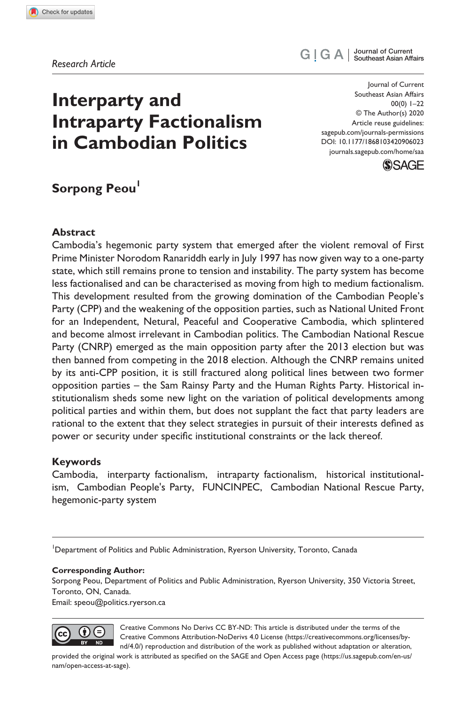*Research Article*

# **Interparty and Intraparty Factionalism in Cambodian Politics**

Journal of Current Southeast Asian Affairs 00(0) 1–22 © The Author(s) 2020 Article reuse guidelines: sagepub.com/journals-permissions DOI: 10.1177/1868103420906023 [journals.sagepub.com/home/saa](https://journals.sagepub.com/home/saa)

Journal of Current Southeast Asian Affairs



# **Sorpong Peou<sup>1</sup>**

## **Abstract**

Cambodia's hegemonic party system that emerged after the violent removal of First Prime Minister Norodom Ranariddh early in July 1997 has now given way to a one-party state, which still remains prone to tension and instability. The party system has become less factionalised and can be characterised as moving from high to medium factionalism. This development resulted from the growing domination of the Cambodian People's Party (CPP) and the weakening of the opposition parties, such as National United Front for an Independent, Netural, Peaceful and Cooperative Cambodia, which splintered and become almost irrelevant in Cambodian politics. The Cambodian National Rescue Party (CNRP) emerged as the main opposition party after the 2013 election but was then banned from competing in the 2018 election. Although the CNRP remains united by its anti-CPP position, it is still fractured along political lines between two former opposition parties – the Sam Rainsy Party and the Human Rights Party. Historical institutionalism sheds some new light on the variation of political developments among political parties and within them, but does not supplant the fact that party leaders are rational to the extent that they select strategies in pursuit of their interests defined as power or security under specific institutional constraints or the lack thereof.

## **Keywords**

Cambodia, interparty factionalism, intraparty factionalism, historical institutionalism, Cambodian People's Party, FUNCINPEC, Cambodian National Rescue Party, hegemonic-party system

<sup>1</sup>Department of Politics and Public Administration, Ryerson University, Toronto, Canada

#### **Corresponding Author:**

Sorpong Peou, Department of Politics and Public Administration, Ryerson University, 350 Victoria Street, Toronto, ON, Canada.

Email: [speou@politics.ryerson.ca](mailto:speou@politics.ryerson.ca)



Creative Commons No Derivs CC BY-ND: This article is distributed under the terms of the Creative Commons Attribution-NoDerivs 4.0 License ([https://creativecommons.org/licenses/by](https://creativecommons.org/licenses/by-nd/4.0/)[nd/4.0/\)](https://creativecommons.org/licenses/by-nd/4.0/) reproduction and distribution of the work as published without adaptation or alteration,

provided the original work is attributed as specified on the SAGE and Open Access page ([https://us.sagepub.com/en-us/](https://us.sagepub.com/en-us/nam/open-access-at-sage) [nam/open-access-at-sage\)](https://us.sagepub.com/en-us/nam/open-access-at-sage).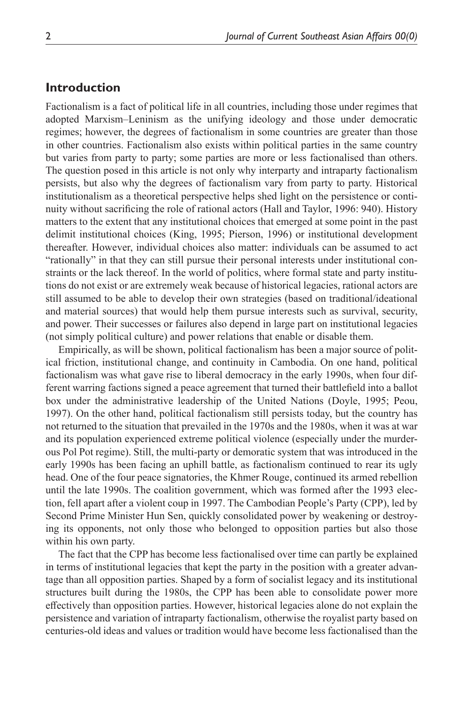## **Introduction**

Factionalism is a fact of political life in all countries, including those under regimes that adopted Marxism–Leninism as the unifying ideology and those under democratic regimes; however, the degrees of factionalism in some countries are greater than those in other countries. Factionalism also exists within political parties in the same country but varies from party to party; some parties are more or less factionalised than others. The question posed in this article is not only why interparty and intraparty factionalism persists, but also why the degrees of factionalism vary from party to party. Historical institutionalism as a theoretical perspective helps shed light on the persistence or continuity without sacrificing the role of rational actors ([Hall and Taylor, 1996: 940](#page-19-0)). History matters to the extent that any institutional choices that emerged at some point in the past delimit institutional choices ([King, 1995](#page-20-0); [Pierson, 1996\)](#page-20-1) or institutional development thereafter. However, individual choices also matter: individuals can be assumed to act "rationally" in that they can still pursue their personal interests under institutional constraints or the lack thereof. In the world of politics, where formal state and party institutions do not exist or are extremely weak because of historical legacies, rational actors are still assumed to be able to develop their own strategies (based on traditional/ideational and material sources) that would help them pursue interests such as survival, security, and power. Their successes or failures also depend in large part on institutional legacies (not simply political culture) and power relations that enable or disable them.

Empirically, as will be shown, political factionalism has been a major source of political friction, institutional change, and continuity in Cambodia. On one hand, political factionalism was what gave rise to liberal democracy in the early 1990s, when four different warring factions signed a peace agreement that turned their battlefield into a ballot box under the administrative leadership of the United Nations ([Doyle, 1995;](#page-19-1) [Peou,](#page-20-2) [1997\)](#page-20-2). On the other hand, political factionalism still persists today, but the country has not returned to the situation that prevailed in the 1970s and the 1980s, when it was at war and its population experienced extreme political violence (especially under the murderous Pol Pot regime). Still, the multi-party or demoratic system that was introduced in the early 1990s has been facing an uphill battle, as factionalism continued to rear its ugly head. One of the four peace signatories, the Khmer Rouge, continued its armed rebellion until the late 1990s. The coalition government, which was formed after the 1993 election, fell apart after a violent coup in 1997. The Cambodian People's Party (CPP), led by Second Prime Minister Hun Sen, quickly consolidated power by weakening or destroying its opponents, not only those who belonged to opposition parties but also those within his own party.

The fact that the CPP has become less factionalised over time can partly be explained in terms of institutional legacies that kept the party in the position with a greater advantage than all opposition parties. Shaped by a form of socialist legacy and its institutional structures built during the 1980s, the CPP has been able to consolidate power more effectively than opposition parties. However, historical legacies alone do not explain the persistence and variation of intraparty factionalism, otherwise the royalist party based on centuries-old ideas and values or tradition would have become less factionalised than the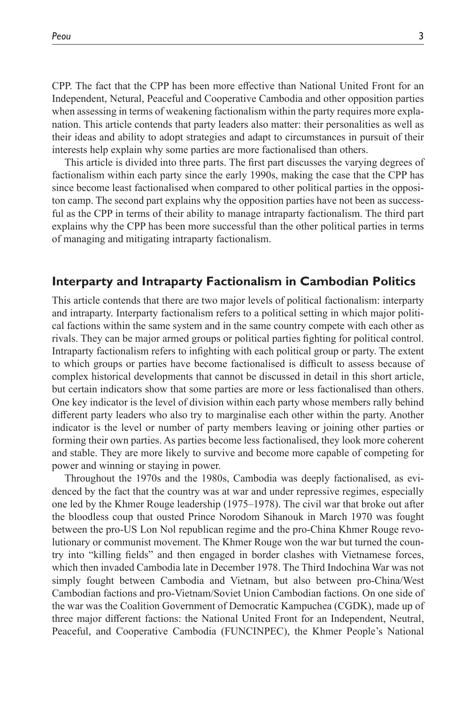CPP. The fact that the CPP has been more effective than National United Front for an Independent, Netural, Peaceful and Cooperative Cambodia and other opposition parties when assessing in terms of weakening factionalism within the party requires more explanation. This article contends that party leaders also matter: their personalities as well as their ideas and ability to adopt strategies and adapt to circumstances in pursuit of their interests help explain why some parties are more factionalised than others.

This article is divided into three parts. The first part discusses the varying degrees of factionalism within each party since the early 1990s, making the case that the CPP has since become least factionalised when compared to other political parties in the oppositon camp. The second part explains why the opposition parties have not been as successful as the CPP in terms of their ability to manage intraparty factionalism. The third part explains why the CPP has been more successful than the other political parties in terms of managing and mitigating intraparty factionalism.

### **Interparty and Intraparty Factionalism in Cambodian Politics**

This article contends that there are two major levels of political factionalism: interparty and intraparty. Interparty factionalism refers to a political setting in which major political factions within the same system and in the same country compete with each other as rivals. They can be major armed groups or political parties fighting for political control. Intraparty factionalism refers to infighting with each political group or party. The extent to which groups or parties have become factionalised is difficult to assess because of complex historical developments that cannot be discussed in detail in this short article, but certain indicators show that some parties are more or less factionalised than others. One key indicator is the level of division within each party whose members rally behind different party leaders who also try to marginalise each other within the party. Another indicator is the level or number of party members leaving or joining other parties or forming their own parties. As parties become less factionalised, they look more coherent and stable. They are more likely to survive and become more capable of competing for power and winning or staying in power.

Throughout the 1970s and the 1980s, Cambodia was deeply factionalised, as evidenced by the fact that the country was at war and under repressive regimes, especially one led by the Khmer Rouge leadership (1975–1978). The civil war that broke out after the bloodless coup that ousted Prince Norodom Sihanouk in March 1970 was fought between the pro-US Lon Nol republican regime and the pro-China Khmer Rouge revolutionary or communist movement. The Khmer Rouge won the war but turned the country into "killing fields" and then engaged in border clashes with Vietnamese forces, which then invaded Cambodia late in December 1978. The Third Indochina War was not simply fought between Cambodia and Vietnam, but also between pro-China/West Cambodian factions and pro-Vietnam/Soviet Union Cambodian factions. On one side of the war was the Coalition Government of Democratic Kampuchea (CGDK), made up of three major different factions: the National United Front for an Independent, Neutral, Peaceful, and Cooperative Cambodia (FUNCINPEC), the Khmer People's National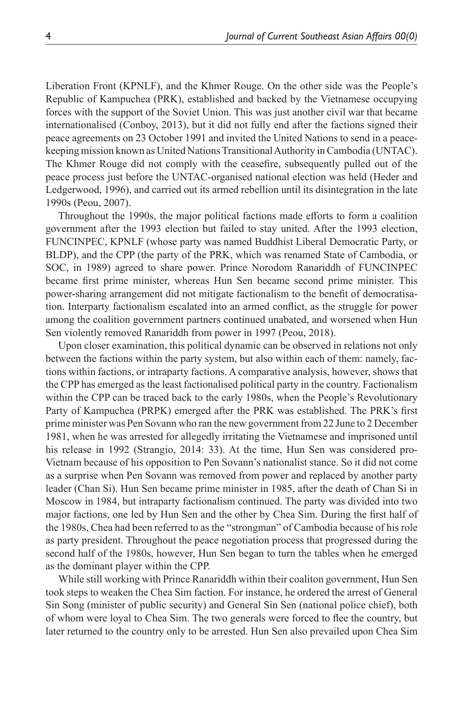Liberation Front (KPNLF), and the Khmer Rouge. On the other side was the People's Republic of Kampuchea (PRK), established and backed by the Vietnamese occupying forces with the support of the Soviet Union. This was just another civil war that became internationalised ([Conboy, 2013](#page-19-2)), but it did not fully end after the factions signed their peace agreements on 23 October 1991 and invited the United Nations to send in a peacekeeping mission known as United Nations Transitional Authority in Cambodia (UNTAC). The Khmer Rouge did not comply with the ceasefire, subsequently pulled out of the peace process just before the UNTAC-organised national election was held ([Heder and](#page-19-3) [Ledgerwood, 1996](#page-19-3)), and carried out its armed rebellion until its disintegration in the late 1990s ([Peou, 2007\)](#page-20-3).

Throughout the 1990s, the major political factions made efforts to form a coalition government after the 1993 election but failed to stay united. After the 1993 election, FUNCINPEC, KPNLF (whose party was named Buddhist Liberal Democratic Party, or BLDP), and the CPP (the party of the PRK, which was renamed State of Cambodia, or SOC, in 1989) agreed to share power. Prince Norodom Ranariddh of FUNCINPEC became first prime minister, whereas Hun Sen became second prime minister. This power-sharing arrangement did not mitigate factionalism to the benefit of democratisation. Interparty factionalism escalated into an armed conflict, as the struggle for power among the coalition government partners continued unabated, and worsened when Hun Sen violently removed Ranariddh from power in 1997 ([Peou, 2018\)](#page-20-4).

Upon closer examination, this political dynamic can be observed in relations not only between the factions within the party system, but also within each of them: namely, factions within factions, or intraparty factions. A comparative analysis, however, shows that the CPP has emerged as the least factionalised political party in the country. Factionalism within the CPP can be traced back to the early 1980s, when the People's Revolutionary Party of Kampuchea (PRPK) emerged after the PRK was established. The PRK's first prime minister was Pen Sovann who ran the new government from 22 June to 2 December 1981, when he was arrested for allegedly irritating the Vietnamese and imprisoned until his release in 1992 ([Strangio, 2014: 33](#page-21-0)). At the time, Hun Sen was considered pro-Vietnam because of his opposition to Pen Sovann's nationalist stance. So it did not come as a surprise when Pen Sovann was removed from power and replaced by another party leader (Chan Si). Hun Sen became prime minister in 1985, after the death of Chan Si in Moscow in 1984, but intraparty factionalism continued. The party was divided into two major factions, one led by Hun Sen and the other by Chea Sim. During the first half of the 1980s, Chea had been referred to as the "strongman" of Cambodia because of his role as party president. Throughout the peace negotiation process that progressed during the second half of the 1980s, however, Hun Sen began to turn the tables when he emerged as the dominant player within the CPP.

While still working with Prince Ranariddh within their coaliton government, Hun Sen took steps to weaken the Chea Sim faction. For instance, he ordered the arrest of General Sin Song (minister of public security) and General Sin Sen (national police chief), both of whom were loyal to Chea Sim. The two generals were forced to flee the country, but later returned to the country only to be arrested. Hun Sen also prevailed upon Chea Sim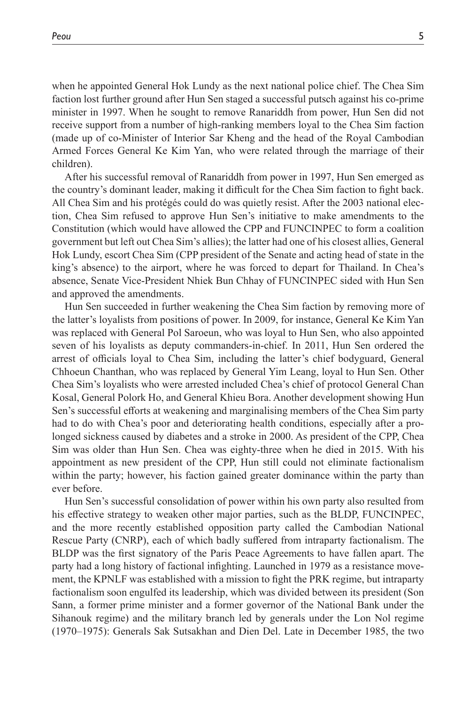when he appointed General Hok Lundy as the next national police chief. The Chea Sim faction lost further ground after Hun Sen staged a successful putsch against his co-prime minister in 1997. When he sought to remove Ranariddh from power, Hun Sen did not receive support from a number of high-ranking members loyal to the Chea Sim faction (made up of co-Minister of Interior Sar Kheng and the head of the Royal Cambodian Armed Forces General Ke Kim Yan, who were related through the marriage of their children).

After his successful removal of Ranariddh from power in 1997, Hun Sen emerged as the country's dominant leader, making it difficult for the Chea Sim faction to fight back. All Chea Sim and his protégés could do was quietly resist. After the 2003 national election, Chea Sim refused to approve Hun Sen's initiative to make amendments to the Constitution (which would have allowed the CPP and FUNCINPEC to form a coalition government but left out Chea Sim's allies); the latter had one of his closest allies, General Hok Lundy, escort Chea Sim (CPP president of the Senate and acting head of state in the king's absence) to the airport, where he was forced to depart for Thailand. In Chea's absence, Senate Vice-President Nhiek Bun Chhay of FUNCINPEC sided with Hun Sen and approved the amendments.

Hun Sen succeeded in further weakening the Chea Sim faction by removing more of the latter's loyalists from positions of power. In 2009, for instance, General Ke Kim Yan was replaced with General Pol Saroeun, who was loyal to Hun Sen, who also appointed seven of his loyalists as deputy commanders-in-chief. In 2011, Hun Sen ordered the arrest of officials loyal to Chea Sim, including the latter's chief bodyguard, General Chhoeun Chanthan, who was replaced by General Yim Leang, loyal to Hun Sen. Other Chea Sim's loyalists who were arrested included Chea's chief of protocol General Chan Kosal, General Polork Ho, and General Khieu Bora. Another development showing Hun Sen's successful efforts at weakening and marginalising members of the Chea Sim party had to do with Chea's poor and deteriorating health conditions, especially after a prolonged sickness caused by diabetes and a stroke in 2000. As president of the CPP, Chea Sim was older than Hun Sen. Chea was eighty-three when he died in 2015. With his appointment as new president of the CPP, Hun still could not eliminate factionalism within the party; however, his faction gained greater dominance within the party than ever before.

Hun Sen's successful consolidation of power within his own party also resulted from his effective strategy to weaken other major parties, such as the BLDP, FUNCINPEC, and the more recently established opposition party called the Cambodian National Rescue Party (CNRP), each of which badly suffered from intraparty factionalism. The BLDP was the first signatory of the Paris Peace Agreements to have fallen apart. The party had a long history of factional infighting. Launched in 1979 as a resistance movement, the KPNLF was established with a mission to fight the PRK regime, but intraparty factionalism soon engulfed its leadership, which was divided between its president (Son Sann, a former prime minister and a former governor of the National Bank under the Sihanouk regime) and the military branch led by generals under the Lon Nol regime (1970–1975): Generals Sak Sutsakhan and Dien Del. Late in December 1985, the two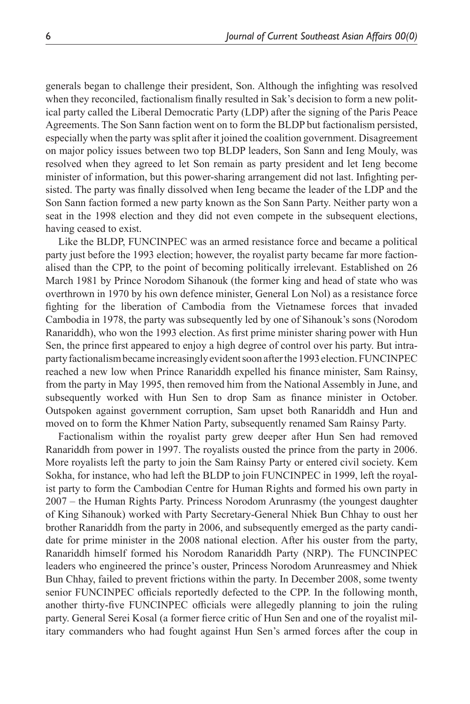generals began to challenge their president, Son. Although the infighting was resolved when they reconciled, factionalism finally resulted in Sak's decision to form a new political party called the Liberal Democratic Party (LDP) after the signing of the Paris Peace Agreements. The Son Sann faction went on to form the BLDP but factionalism persisted, especially when the party was split after it joined the coalition government. Disagreement on major policy issues between two top BLDP leaders, Son Sann and Ieng Mouly, was resolved when they agreed to let Son remain as party president and let Ieng become minister of information, but this power-sharing arrangement did not last. Infighting persisted. The party was finally dissolved when Ieng became the leader of the LDP and the Son Sann faction formed a new party known as the Son Sann Party. Neither party won a seat in the 1998 election and they did not even compete in the subsequent elections, having ceased to exist.

Like the BLDP, FUNCINPEC was an armed resistance force and became a political party just before the 1993 election; however, the royalist party became far more factionalised than the CPP, to the point of becoming politically irrelevant. Established on 26 March 1981 by Prince Norodom Sihanouk (the former king and head of state who was overthrown in 1970 by his own defence minister, General Lon Nol) as a resistance force fighting for the liberation of Cambodia from the Vietnamese forces that invaded Cambodia in 1978, the party was subsequently led by one of Sihanouk's sons (Norodom Ranariddh), who won the 1993 election. As first prime minister sharing power with Hun Sen, the prince first appeared to enjoy a high degree of control over his party. But intraparty factionalism became increasingly evident soon after the 1993 election. FUNCINPEC reached a new low when Prince Ranariddh expelled his finance minister, Sam Rainsy, from the party in May 1995, then removed him from the National Assembly in June, and subsequently worked with Hun Sen to drop Sam as finance minister in October. Outspoken against government corruption, Sam upset both Ranariddh and Hun and moved on to form the Khmer Nation Party, subsequently renamed Sam Rainsy Party.

Factionalism within the royalist party grew deeper after Hun Sen had removed Ranariddh from power in 1997. The royalists ousted the prince from the party in 2006. More royalists left the party to join the Sam Rainsy Party or entered civil society. Kem Sokha, for instance, who had left the BLDP to join FUNCINPEC in 1999, left the royalist party to form the Cambodian Centre for Human Rights and formed his own party in 2007 – the Human Rights Party. Princess Norodom Arunrasmy (the youngest daughter of King Sihanouk) worked with Party Secretary-General Nhiek Bun Chhay to oust her brother Ranariddh from the party in 2006, and subsequently emerged as the party candidate for prime minister in the 2008 national election. After his ouster from the party, Ranariddh himself formed his Norodom Ranariddh Party (NRP). The FUNCINPEC leaders who engineered the prince's ouster, Princess Norodom Arunreasmey and Nhiek Bun Chhay, failed to prevent frictions within the party. In December 2008, some twenty senior FUNCINPEC officials reportedly defected to the CPP. In the following month, another thirty-five FUNCINPEC officials were allegedly planning to join the ruling party. General Serei Kosal (a former fierce critic of Hun Sen and one of the royalist military commanders who had fought against Hun Sen's armed forces after the coup in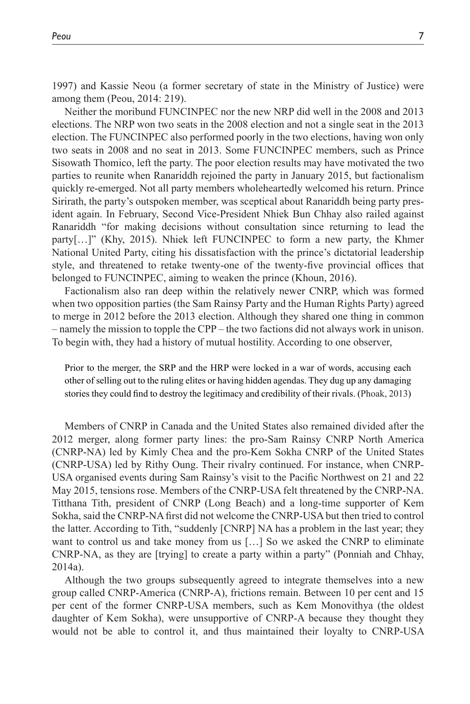1997) and Kassie Neou (a former secretary of state in the Ministry of Justice) were among them ([Peou, 2014: 219\)](#page-20-5).

Neither the moribund FUNCINPEC nor the new NRP did well in the 2008 and 2013 elections. The NRP won two seats in the 2008 election and not a single seat in the 2013 election. The FUNCINPEC also performed poorly in the two elections, having won only two seats in 2008 and no seat in 2013. Some FUNCINPEC members, such as Prince Sisowath Thomico, left the party. The poor election results may have motivated the two parties to reunite when Ranariddh rejoined the party in January 2015, but factionalism quickly re-emerged. Not all party members wholeheartedly welcomed his return. Prince Sirirath, the party's outspoken member, was sceptical about Ranariddh being party president again. In February, Second Vice-President Nhiek Bun Chhay also railed against Ranariddh "for making decisions without consultation since returning to lead the party[…]" ([Khy, 2015](#page-20-6)). Nhiek left FUNCINPEC to form a new party, the Khmer National United Party, citing his dissatisfaction with the prince's dictatorial leadership style, and threatened to retake twenty-one of the twenty-five provincial offices that belonged to FUNCINPEC, aiming to weaken the prince ([Khoun, 2016](#page-20-7)).

Factionalism also ran deep within the relatively newer CNRP, which was formed when two opposition parties (the Sam Rainsy Party and the Human Rights Party) agreed to merge in 2012 before the 2013 election. Although they shared one thing in common – namely the mission to topple the CPP – the two factions did not always work in unison. To begin with, they had a history of mutual hostility. According to one observer,

Prior to the merger, the SRP and the HRP were locked in a war of words, accusing each other of selling out to the ruling elites or having hidden agendas. They dug up any damaging stories they could find to destroy the legitimacy and credibility of their rivals. ([Phoak, 2013](#page-20-8))

Members of CNRP in Canada and the United States also remained divided after the 2012 merger, along former party lines: the pro-Sam Rainsy CNRP North America (CNRP-NA) led by Kimly Chea and the pro-Kem Sokha CNRP of the United States (CNRP-USA) led by Rithy Oung. Their rivalry continued. For instance, when CNRP-USA organised events during Sam Rainsy's visit to the Pacific Northwest on 21 and 22 May 2015, tensions rose. Members of the CNRP-USA felt threatened by the CNRP-NA. Titthana Tith, president of CNRP (Long Beach) and a long-time supporter of Kem Sokha, said the CNRP-NA first did not welcome the CNRP-USA but then tried to control the latter. According to Tith, "suddenly [CNRP] NA has a problem in the last year; they want to control us and take money from us […] So we asked the CNRP to eliminate CNRP-NA, as they are [trying] to create a party within a party" ([Ponniah and Chhay,](#page-20-9) [2014a](#page-20-9)).

Although the two groups subsequently agreed to integrate themselves into a new group called CNRP-America (CNRP-A), frictions remain. Between 10 per cent and 15 per cent of the former CNRP-USA members, such as Kem Monovithya (the oldest daughter of Kem Sokha), were unsupportive of CNRP-A because they thought they would not be able to control it, and thus maintained their loyalty to CNRP-USA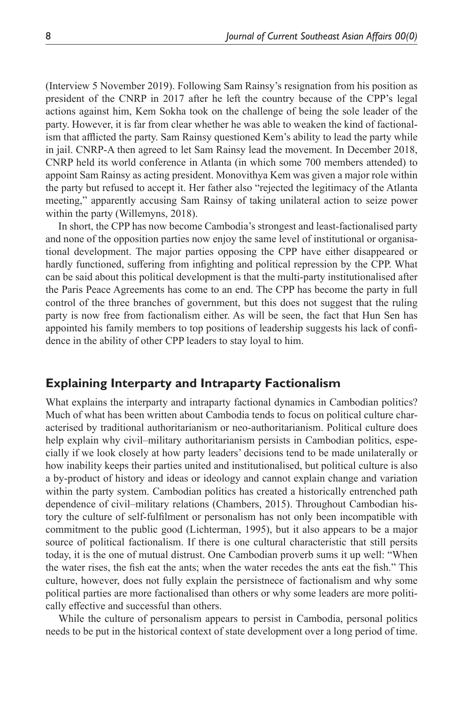(Interview 5 November 2019). Following Sam Rainsy's resignation from his position as president of the CNRP in 2017 after he left the country because of the CPP's legal actions against him, Kem Sokha took on the challenge of being the sole leader of the party. However, it is far from clear whether he was able to weaken the kind of factionalism that afflicted the party. Sam Rainsy questioned Kem's ability to lead the party while in jail. CNRP-A then agreed to let Sam Rainsy lead the movement. In December 2018, CNRP held its world conference in Atlanta (in which some 700 members attended) to appoint Sam Rainsy as acting president. Monovithya Kem was given a major role within the party but refused to accept it. Her father also "rejected the legitimacy of the Atlanta meeting," apparently accusing Sam Rainsy of taking unilateral action to seize power within the party ([Willemyns, 2018\)](#page-21-1).

In short, the CPP has now become Cambodia's strongest and least-factionalised party and none of the opposition parties now enjoy the same level of institutional or organisational development. The major parties opposing the CPP have either disappeared or hardly functioned, suffering from infighting and political repression by the CPP. What can be said about this political development is that the multi-party institutionalised after the Paris Peace Agreements has come to an end. The CPP has become the party in full control of the three branches of government, but this does not suggest that the ruling party is now free from factionalism either. As will be seen, the fact that Hun Sen has appointed his family members to top positions of leadership suggests his lack of confidence in the ability of other CPP leaders to stay loyal to him.

## **Explaining Interparty and Intraparty Factionalism**

What explains the interparty and intraparty factional dynamics in Cambodian politics? Much of what has been written about Cambodia tends to focus on political culture characterised by traditional authoritarianism or neo-authoritarianism. Political culture does help explain why civil–military authoritarianism persists in Cambodian politics, especially if we look closely at how party leaders' decisions tend to be made unilaterally or how inability keeps their parties united and institutionalised, but political culture is also a by-product of history and ideas or ideology and cannot explain change and variation within the party system. Cambodian politics has created a historically entrenched path dependence of civil–military relations ([Chambers, 2015\)](#page-19-4). Throughout Cambodian history the culture of self-fulfilment or personalism has not only been incompatible with commitment to the public good ([Lichterman, 1995\)](#page-20-10), but it also appears to be a major source of political factionalism. If there is one cultural characteristic that still persits today, it is the one of mutual distrust. One Cambodian proverb sums it up well: "When the water rises, the fish eat the ants; when the water recedes the ants eat the fish." This culture, however, does not fully explain the persistnece of factionalism and why some political parties are more factionalised than others or why some leaders are more politically effective and successful than others.

While the culture of personalism appears to persist in Cambodia, personal politics needs to be put in the historical context of state development over a long period of time.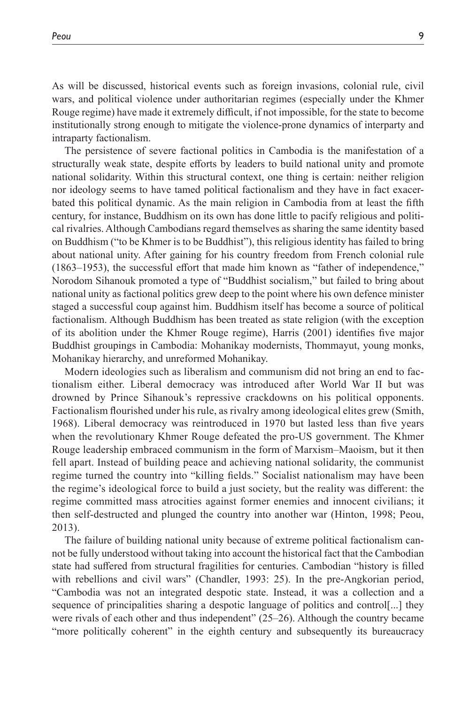As will be discussed, historical events such as foreign invasions, colonial rule, civil wars, and political violence under authoritarian regimes (especially under the Khmer Rouge regime) have made it extremely difficult, if not impossible, for the state to become institutionally strong enough to mitigate the violence-prone dynamics of interparty and intraparty factionalism.

The persistence of severe factional politics in Cambodia is the manifestation of a structurally weak state, despite efforts by leaders to build national unity and promote national solidarity. Within this structural context, one thing is certain: neither religion nor ideology seems to have tamed political factionalism and they have in fact exacerbated this political dynamic. As the main religion in Cambodia from at least the fifth century, for instance, Buddhism on its own has done little to pacify religious and political rivalries. Although Cambodians regard themselves as sharing the same identity based on Buddhism ("to be Khmer is to be Buddhist"), this religious identity has failed to bring about national unity. After gaining for his country freedom from French colonial rule (1863–1953), the successful effort that made him known as "father of independence," Norodom Sihanouk promoted a type of "Buddhist socialism," but failed to bring about national unity as factional politics grew deep to the point where his own defence minister staged a successful coup against him. Buddhism itself has become a source of political factionalism. Although Buddhism has been treated as state religion (with the exception of its abolition under the Khmer Rouge regime), [Harris \(2001\)](#page-19-5) identifies five major Buddhist groupings in Cambodia: Mohanikay modernists, Thommayut, young monks, Mohanikay hierarchy, and unreformed Mohanikay.

Modern ideologies such as liberalism and communism did not bring an end to factionalism either. Liberal democracy was introduced after World War II but was drowned by Prince Sihanouk's repressive crackdowns on his political opponents. Factionalism flourished under his rule, as rivalry among ideological elites grew ([Smith,](#page-21-2) [1968](#page-21-2)). Liberal democracy was reintroduced in 1970 but lasted less than five years when the revolutionary Khmer Rouge defeated the pro-US government. The Khmer Rouge leadership embraced communism in the form of Marxism–Maoism, but it then fell apart. Instead of building peace and achieving national solidarity, the communist regime turned the country into "killing fields." Socialist nationalism may have been the regime's ideological force to build a just society, but the reality was different: the regime committed mass atrocities against former enemies and innocent civilians; it then self-destructed and plunged the country into another war ([Hinton, 1998](#page-19-6); [Peou,](#page-20-11) [2013](#page-20-11)).

The failure of building national unity because of extreme political factionalism cannot be fully understood without taking into account the historical fact that the Cambodian state had suffered from structural fragilities for centuries. Cambodian "history is filled with rebellions and civil wars" ([Chandler, 1993: 25](#page-19-7)). In the pre-Angkorian period, "Cambodia was not an integrated despotic state. Instead, it was a collection and a sequence of principalities sharing a despotic language of politics and control[...] they were rivals of each other and thus independent" (25–26). Although the country became "more politically coherent" in the eighth century and subsequently its bureaucracy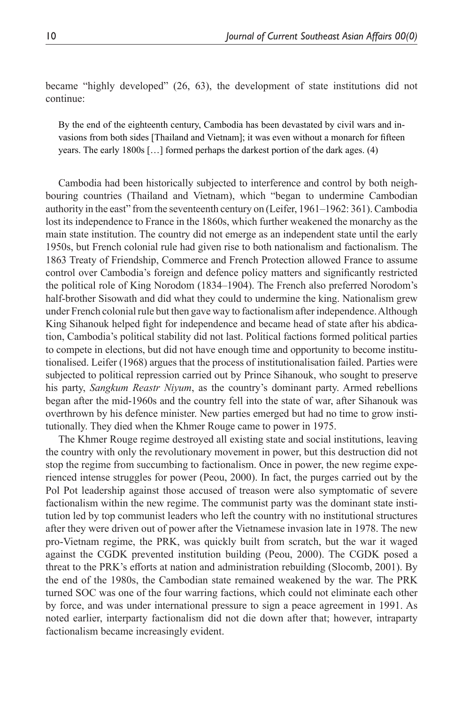became "highly developed" (26, 63), the development of state institutions did not continue:

By the end of the eighteenth century, Cambodia has been devastated by civil wars and invasions from both sides [Thailand and Vietnam]; it was even without a monarch for fifteen years. The early 1800s […] formed perhaps the darkest portion of the dark ages. (4)

Cambodia had been historically subjected to interference and control by both neighbouring countries (Thailand and Vietnam), which "began to undermine Cambodian authority in the east" from the seventeenth century on ([Leifer, 1961–1962: 361](#page-20-12)). Cambodia lost its independence to France in the 1860s, which further weakened the monarchy as the main state institution. The country did not emerge as an independent state until the early 1950s, but French colonial rule had given rise to both nationalism and factionalism. The 1863 Treaty of Friendship, Commerce and French Protection allowed France to assume control over Cambodia's foreign and defence policy matters and significantly restricted the political role of King Norodom (1834–1904). The French also preferred Norodom's half-brother Sisowath and did what they could to undermine the king. Nationalism grew under French colonial rule but then gave way to factionalism after independence. Although King Sihanouk helped fight for independence and became head of state after his abdication, Cambodia's political stability did not last. Political factions formed political parties to compete in elections, but did not have enough time and opportunity to become institutionalised. [Leifer \(1968\)](#page-20-13) argues that the process of institutionalisation failed. Parties were subjected to political repression carried out by Prince Sihanouk, who sought to preserve his party, *Sangkum Reastr Niyum*, as the country's dominant party. Armed rebellions began after the mid-1960s and the country fell into the state of war, after Sihanouk was overthrown by his defence minister. New parties emerged but had no time to grow institutionally. They died when the Khmer Rouge came to power in 1975.

The Khmer Rouge regime destroyed all existing state and social institutions, leaving the country with only the revolutionary movement in power, but this destruction did not stop the regime from succumbing to factionalism. Once in power, the new regime experienced intense struggles for power ([Peou, 2000\)](#page-20-14). In fact, the purges carried out by the Pol Pot leadership against those accused of treason were also symptomatic of severe factionalism within the new regime. The communist party was the dominant state institution led by top communist leaders who left the country with no institutional structures after they were driven out of power after the Vietnamese invasion late in 1978. The new pro-Vietnam regime, the PRK, was quickly built from scratch, but the war it waged against the CGDK prevented institution building ([Peou, 2000\)](#page-20-14). The CGDK posed a threat to the PRK's efforts at nation and administration rebuilding ([Slocomb, 2001](#page-21-3)). By the end of the 1980s, the Cambodian state remained weakened by the war. The PRK turned SOC was one of the four warring factions, which could not eliminate each other by force, and was under international pressure to sign a peace agreement in 1991. As noted earlier, interparty factionalism did not die down after that; however, intraparty factionalism became increasingly evident.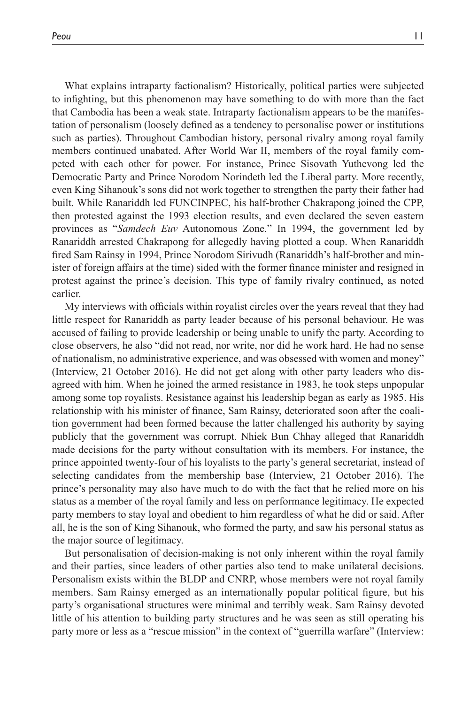What explains intraparty factionalism? Historically, political parties were subjected to infighting, but this phenomenon may have something to do with more than the fact that Cambodia has been a weak state. Intraparty factionalism appears to be the manifestation of personalism (loosely defined as a tendency to personalise power or institutions such as parties). Throughout Cambodian history, personal rivalry among royal family members continued unabated. After World War II, members of the royal family competed with each other for power. For instance, Prince Sisovath Yuthevong led the Democratic Party and Prince Norodom Norindeth led the Liberal party. More recently, even King Sihanouk's sons did not work together to strengthen the party their father had built. While Ranariddh led FUNCINPEC, his half-brother Chakrapong joined the CPP, then protested against the 1993 election results, and even declared the seven eastern provinces as "*Samdech Euv* Autonomous Zone." In 1994, the government led by Ranariddh arrested Chakrapong for allegedly having plotted a coup. When Ranariddh fired Sam Rainsy in 1994, Prince Norodom Sirivudh (Ranariddh's half-brother and minister of foreign affairs at the time) sided with the former finance minister and resigned in protest against the prince's decision. This type of family rivalry continued, as noted earlier.

My interviews with officials within royalist circles over the years reveal that they had little respect for Ranariddh as party leader because of his personal behaviour. He was accused of failing to provide leadership or being unable to unify the party. According to close observers, he also "did not read, nor write, nor did he work hard. He had no sense of nationalism, no administrative experience, and was obsessed with women and money" (Interview, 21 October 2016). He did not get along with other party leaders who disagreed with him. When he joined the armed resistance in 1983, he took steps unpopular among some top royalists. Resistance against his leadership began as early as 1985. His relationship with his minister of finance, Sam Rainsy, deteriorated soon after the coalition government had been formed because the latter challenged his authority by saying publicly that the government was corrupt. Nhiek Bun Chhay alleged that Ranariddh made decisions for the party without consultation with its members. For instance, the prince appointed twenty-four of his loyalists to the party's general secretariat, instead of selecting candidates from the membership base (Interview, 21 October 2016). The prince's personality may also have much to do with the fact that he relied more on his status as a member of the royal family and less on performance legitimacy. He expected party members to stay loyal and obedient to him regardless of what he did or said. After all, he is the son of King Sihanouk, who formed the party, and saw his personal status as the major source of legitimacy.

But personalisation of decision-making is not only inherent within the royal family and their parties, since leaders of other parties also tend to make unilateral decisions. Personalism exists within the BLDP and CNRP, whose members were not royal family members. Sam Rainsy emerged as an internationally popular political figure, but his party's organisational structures were minimal and terribly weak. Sam Rainsy devoted little of his attention to building party structures and he was seen as still operating his party more or less as a "rescue mission" in the context of "guerrilla warfare" (Interview: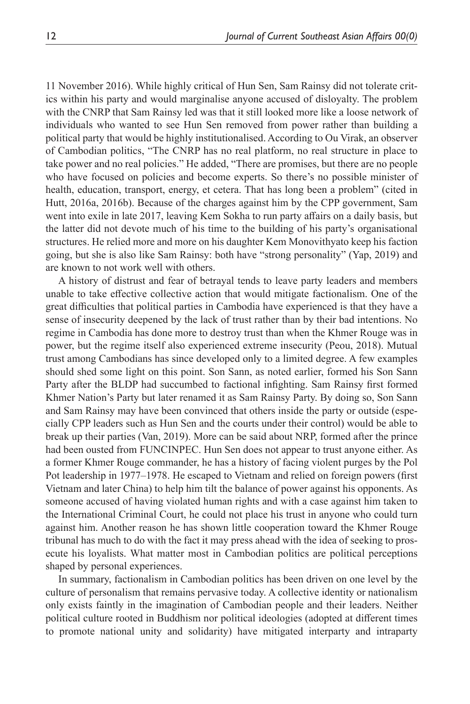11 November 2016). While highly critical of Hun Sen, Sam Rainsy did not tolerate critics within his party and would marginalise anyone accused of disloyalty. The problem with the CNRP that Sam Rainsy led was that it still looked more like a loose network of individuals who wanted to see Hun Sen removed from power rather than building a political party that would be highly institutionalised. According to Ou Virak, an observer of Cambodian politics, "The CNRP has no real platform, no real structure in place to take power and no real policies." He added, "There are promises, but there are no people who have focused on policies and become experts. So there's no possible minister of health, education, transport, energy, et cetera. That has long been a problem" (cited in [Hutt, 2016a](#page-20-15), 2016[b](#page-20-16)). Because of the charges against him by the CPP government, Sam went into exile in late 2017, leaving Kem Sokha to run party affairs on a daily basis, but the latter did not devote much of his time to the building of his party's organisational structures. He relied more and more on his daughter Kem Monovithyato keep his faction going, but she is also like Sam Rainsy: both have "strong personality" ([Yap, 2019](#page-21-4)) and are known to not work well with others.

A history of distrust and fear of betrayal tends to leave party leaders and members unable to take effective collective action that would mitigate factionalism. One of the great difficulties that political parties in Cambodia have experienced is that they have a sense of insecurity deepened by the lack of trust rather than by their bad intentions. No regime in Cambodia has done more to destroy trust than when the Khmer Rouge was in power, but the regime itself also experienced extreme insecurity ([Peou, 2018\)](#page-20-4). Mutual trust among Cambodians has since developed only to a limited degree. A few examples should shed some light on this point. Son Sann, as noted earlier, formed his Son Sann Party after the BLDP had succumbed to factional infighting. Sam Rainsy first formed Khmer Nation's Party but later renamed it as Sam Rainsy Party. By doing so, Son Sann and Sam Rainsy may have been convinced that others inside the party or outside (especially CPP leaders such as Hun Sen and the courts under their control) would be able to break up their parties [\(Van, 2019](#page-21-5)). More can be said about NRP, formed after the prince had been ousted from FUNCINPEC. Hun Sen does not appear to trust anyone either. As a former Khmer Rouge commander, he has a history of facing violent purges by the Pol Pot leadership in 1977–1978. He escaped to Vietnam and relied on foreign powers (first Vietnam and later China) to help him tilt the balance of power against his opponents. As someone accused of having violated human rights and with a case against him taken to the International Criminal Court, he could not place his trust in anyone who could turn against him. Another reason he has shown little cooperation toward the Khmer Rouge tribunal has much to do with the fact it may press ahead with the idea of seeking to prosecute his loyalists. What matter most in Cambodian politics are political perceptions shaped by personal experiences.

In summary, factionalism in Cambodian politics has been driven on one level by the culture of personalism that remains pervasive today. A collective identity or nationalism only exists faintly in the imagination of Cambodian people and their leaders. Neither political culture rooted in Buddhism nor political ideologies (adopted at different times to promote national unity and solidarity) have mitigated interparty and intraparty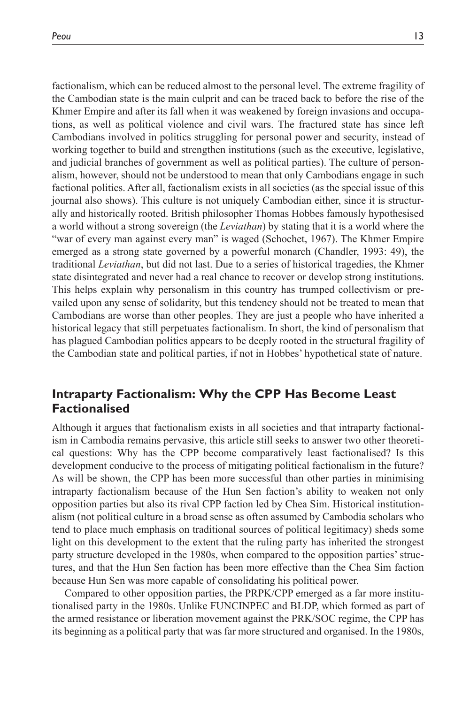factionalism, which can be reduced almost to the personal level. The extreme fragility of the Cambodian state is the main culprit and can be traced back to before the rise of the Khmer Empire and after its fall when it was weakened by foreign invasions and occupations, as well as political violence and civil wars. The fractured state has since left Cambodians involved in politics struggling for personal power and security, instead of working together to build and strengthen institutions (such as the executive, legislative, and judicial branches of government as well as political parties). The culture of personalism, however, should not be understood to mean that only Cambodians engage in such factional politics. After all, factionalism exists in all societies (as the special issue of this journal also shows). This culture is not uniquely Cambodian either, since it is structurally and historically rooted. British philosopher Thomas Hobbes famously hypothesised a world without a strong sovereign (the *Leviathan*) by stating that it is a world where the "war of every man against every man" is waged ([Schochet, 1967](#page-21-6)). The Khmer Empire emerged as a strong state governed by a powerful monarch ([Chandler, 1993: 49\)](#page-19-7), the traditional *Leviathan*, but did not last. Due to a series of historical tragedies, the Khmer state disintegrated and never had a real chance to recover or develop strong institutions. This helps explain why personalism in this country has trumped collectivism or prevailed upon any sense of solidarity, but this tendency should not be treated to mean that Cambodians are worse than other peoples. They are just a people who have inherited a historical legacy that still perpetuates factionalism. In short, the kind of personalism that has plagued Cambodian politics appears to be deeply rooted in the structural fragility of the Cambodian state and political parties, if not in Hobbes' hypothetical state of nature.

# **Intraparty Factionalism: Why the CPP Has Become Least Factionalised**

Although it argues that factionalism exists in all societies and that intraparty factionalism in Cambodia remains pervasive, this article still seeks to answer two other theoretical questions: Why has the CPP become comparatively least factionalised? Is this development conducive to the process of mitigating political factionalism in the future? As will be shown, the CPP has been more successful than other parties in minimising intraparty factionalism because of the Hun Sen faction's ability to weaken not only opposition parties but also its rival CPP faction led by Chea Sim. Historical institutionalism (not political culture in a broad sense as often assumed by Cambodia scholars who tend to place much emphasis on traditional sources of political legitimacy) sheds some light on this development to the extent that the ruling party has inherited the strongest party structure developed in the 1980s, when compared to the opposition parties' structures, and that the Hun Sen faction has been more effective than the Chea Sim faction because Hun Sen was more capable of consolidating his political power.

Compared to other opposition parties, the PRPK/CPP emerged as a far more institutionalised party in the 1980s. Unlike FUNCINPEC and BLDP, which formed as part of the armed resistance or liberation movement against the PRK/SOC regime, the CPP has its beginning as a political party that was far more structured and organised. In the 1980s,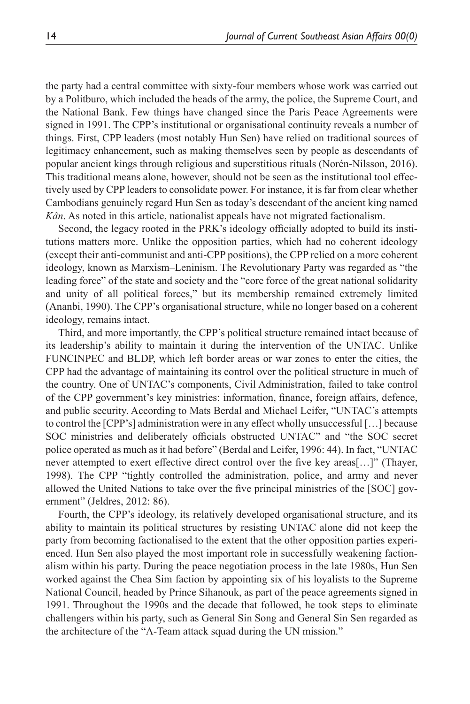the party had a central committee with sixty-four members whose work was carried out by a Politburo, which included the heads of the army, the police, the Supreme Court, and the National Bank. Few things have changed since the Paris Peace Agreements were signed in 1991. The CPP's institutional or organisational continuity reveals a number of things. First, CPP leaders (most notably Hun Sen) have relied on traditional sources of legitimacy enhancement, such as making themselves seen by people as descendants of popular ancient kings through religious and superstitious rituals ([Norén-Nilsson, 2016](#page-20-17)). This traditional means alone, however, should not be seen as the institutional tool effectively used by CPP leaders to consolidate power. For instance, it is far from clear whether Cambodians genuinely regard Hun Sen as today's descendant of the ancient king named *Kân*. As noted in this article, nationalist appeals have not migrated factionalism.

Second, the legacy rooted in the PRK's ideology officially adopted to build its institutions matters more. Unlike the opposition parties, which had no coherent ideology (except their anti-communist and anti-CPP positions), the CPP relied on a more coherent ideology, known as Marxism–Leninism. The Revolutionary Party was regarded as "the leading force" of the state and society and the "core force of the great national solidarity and unity of all political forces," but its membership remained extremely limited [\(Ananbi, 1990](#page-19-8)). The CPP's organisational structure, while no longer based on a coherent ideology, remains intact.

Third, and more importantly, the CPP's political structure remained intact because of its leadership's ability to maintain it during the intervention of the UNTAC. Unlike FUNCINPEC and BLDP, which left border areas or war zones to enter the cities, the CPP had the advantage of maintaining its control over the political structure in much of the country. One of UNTAC's components, Civil Administration, failed to take control of the CPP government's key ministries: information, finance, foreign affairs, defence, and public security. According to Mats Berdal and Michael Leifer, "UNTAC's attempts to control the [CPP's] administration were in any effect wholly unsuccessful […] because SOC ministries and deliberately officials obstructed UNTAC" and "the SOC secret police operated as much as it had before" ([Berdal and Leifer, 1996: 44\)](#page-19-9). In fact, "UNTAC never attempted to exert effective direct control over the five key areas[…]" ([Thayer,](#page-21-7) [1998\)](#page-21-7). The CPP "tightly controlled the administration, police, and army and never allowed the United Nations to take over the five principal ministries of the [SOC] government" ([Jeldres, 2012: 86](#page-20-18)).

Fourth, the CPP's ideology, its relatively developed organisational structure, and its ability to maintain its political structures by resisting UNTAC alone did not keep the party from becoming factionalised to the extent that the other opposition parties experienced. Hun Sen also played the most important role in successfully weakening factionalism within his party. During the peace negotiation process in the late 1980s, Hun Sen worked against the Chea Sim faction by appointing six of his loyalists to the Supreme National Council, headed by Prince Sihanouk, as part of the peace agreements signed in 1991. Throughout the 1990s and the decade that followed, he took steps to eliminate challengers within his party, such as General Sin Song and General Sin Sen regarded as the architecture of the "A-Team attack squad during the UN mission."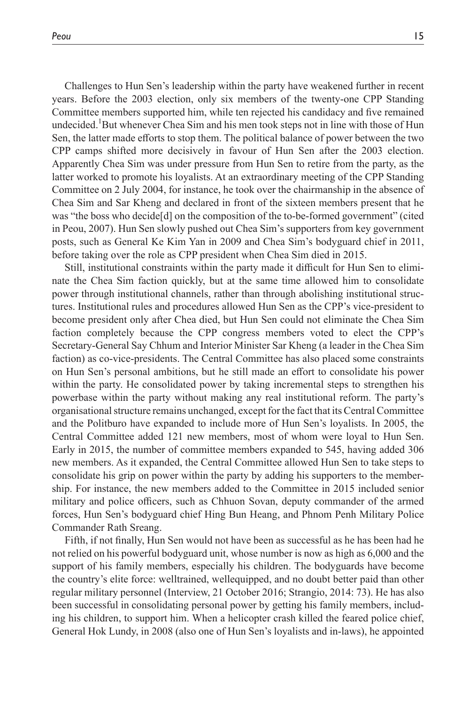Challenges to Hun Sen's leadership within the party have weakened further in recent years. Before the 2003 election, only six members of the twenty-one CPP Standing Committee members supported him, while ten rejected his candidacy and five remained undecided. <sup>1</sup>But whenever Chea Sim and his men took steps not in line with those of Hun Sen, the latter made efforts to stop them. The political balance of power between the two CPP camps shifted more decisively in favour of Hun Sen after the 2003 election. Apparently Chea Sim was under pressure from Hun Sen to retire from the party, as the latter worked to promote his loyalists. At an extraordinary meeting of the CPP Standing Committee on 2 July 2004, for instance, he took over the chairmanship in the absence of Chea Sim and Sar Kheng and declared in front of the sixteen members present that he was "the boss who decide[d] on the composition of the to-be-formed government" (cited in [Peou, 2007](#page-20-3)). Hun Sen slowly pushed out Chea Sim's supporters from key government posts, such as General Ke Kim Yan in 2009 and Chea Sim's bodyguard chief in 2011, before taking over the role as CPP president when Chea Sim died in 2015.

Still, institutional constraints within the party made it difficult for Hun Sen to eliminate the Chea Sim faction quickly, but at the same time allowed him to consolidate power through institutional channels, rather than through abolishing institutional structures. Institutional rules and procedures allowed Hun Sen as the CPP's vice-president to become president only after Chea died, but Hun Sen could not eliminate the Chea Sim faction completely because the CPP congress members voted to elect the CPP's Secretary-General Say Chhum and Interior Minister Sar Kheng (a leader in the Chea Sim faction) as co-vice-presidents. The Central Committee has also placed some constraints on Hun Sen's personal ambitions, but he still made an effort to consolidate his power within the party. He consolidated power by taking incremental steps to strengthen his powerbase within the party without making any real institutional reform. The party's organisational structure remains unchanged, except for the fact that its Central Committee and the Politburo have expanded to include more of Hun Sen's loyalists. In 2005, the Central Committee added 121 new members, most of whom were loyal to Hun Sen. Early in 2015, the number of committee members expanded to 545, having added 306 new members. As it expanded, the Central Committee allowed Hun Sen to take steps to consolidate his grip on power within the party by adding his supporters to the membership. For instance, the new members added to the Committee in 2015 included senior military and police officers, such as Chhuon Sovan, deputy commander of the armed forces, Hun Sen's bodyguard chief Hing Bun Heang, and Phnom Penh Military Police Commander Rath Sreang.

Fifth, if not finally, Hun Sen would not have been as successful as he has been had he not relied on his powerful bodyguard unit, whose number is now as high as 6,000 and the support of his family members, especially his children. The bodyguards have become the country's elite force: welltrained, wellequipped, and no doubt better paid than other regular military personnel (Interview, 21 October 2016; [Strangio, 2014: 73\)](#page-21-0). He has also been successful in consolidating personal power by getting his family members, including his children, to support him. When a helicopter crash killed the feared police chief, General Hok Lundy, in 2008 (also one of Hun Sen's loyalists and in-laws), he appointed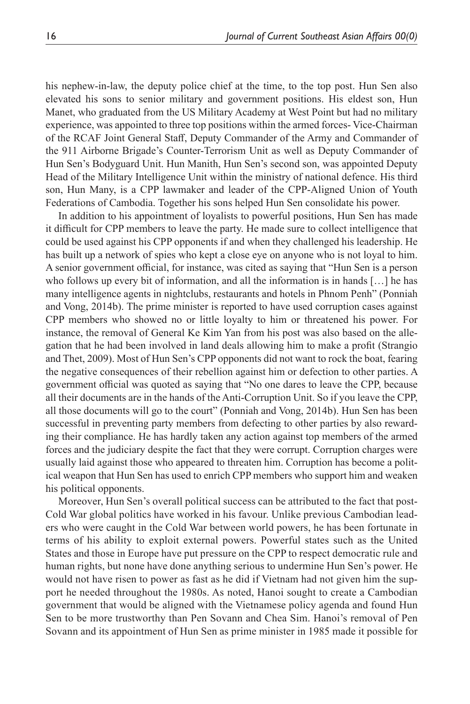his nephew-in-law, the deputy police chief at the time, to the top post. Hun Sen also elevated his sons to senior military and government positions. His eldest son, Hun Manet, who graduated from the US Military Academy at West Point but had no military experience, was appointed to three top positions within the armed forces- Vice-Chairman of the RCAF Joint General Staff, Deputy Commander of the Army and Commander of the 911 Airborne Brigade's Counter-Terrorism Unit as well as Deputy Commander of Hun Sen's Bodyguard Unit. Hun Manith, Hun Sen's second son, was appointed Deputy Head of the Military Intelligence Unit within the ministry of national defence. His third son, Hun Many, is a CPP lawmaker and leader of the CPP-Aligned Union of Youth Federations of Cambodia. Together his sons helped Hun Sen consolidate his power.

In addition to his appointment of loyalists to powerful positions, Hun Sen has made it difficult for CPP members to leave the party. He made sure to collect intelligence that could be used against his CPP opponents if and when they challenged his leadership. He has built up a network of spies who kept a close eye on anyone who is not loyal to him. A senior government official, for instance, was cited as saying that "Hun Sen is a person who follows up every bit of information, and all the information is in hands […] he has many intelligence agents in nightclubs, restaurants and hotels in Phnom Penh" ([Ponniah](#page-20-19) [and Vong, 2014b](#page-20-19)[\).](http://www.phnompenhpost.com/author/vong-sokheng/4) The prime minister is reported to have used corruption cases against CPP members who showed no or little loyalty to him or threatened his power. For instance, the removal of General Ke Kim Yan from his post was also based on the allegation that he had been involved in land deals allowing him to make a profit ([Strangio](#page-21-8) [and Thet, 2009](#page-21-8)). Most of Hun Sen's CPP opponents did not want to rock the boat, fearing the negative consequences of their rebellion against him or defection to other parties. A government official was quoted as saying that "No one dares to leave the CPP, because all their documents are in the hands of the Anti-Corruption Unit. So if you leave the CPP, all those documents will go to the court" ([Ponniah and Vong, 2014b](#page-20-19)). Hun Sen has been successful in preventing party members from defecting to other parties by also rewarding their compliance. He has hardly taken any action against top members of the armed forces and the judiciary despite the fact that they were corrupt. Corruption charges were usually laid against those who appeared to threaten him. Corruption has become a political weapon that Hun Sen has used to enrich CPP members who support him and weaken his political opponents.

Moreover, Hun Sen's overall political success can be attributed to the fact that post-Cold War global politics have worked in his favour. Unlike previous Cambodian leaders who were caught in the Cold War between world powers, he has been fortunate in terms of his ability to exploit external powers. Powerful states such as the United States and those in Europe have put pressure on the CPP to respect democratic rule and human rights, but none have done anything serious to undermine Hun Sen's power. He would not have risen to power as fast as he did if Vietnam had not given him the support he needed throughout the 1980s. As noted, Hanoi sought to create a Cambodian government that would be aligned with the Vietnamese policy agenda and found Hun Sen to be more trustworthy than Pen Sovann and Chea Sim. Hanoi's removal of Pen Sovann and its appointment of Hun Sen as prime minister in 1985 made it possible for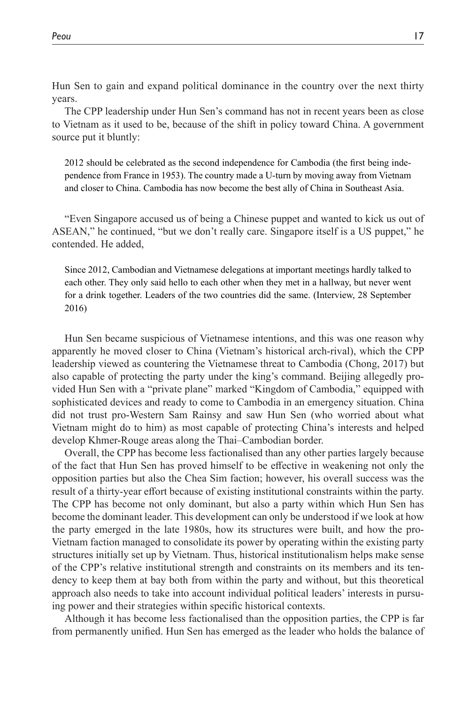Hun Sen to gain and expand political dominance in the country over the next thirty years.

The CPP leadership under Hun Sen's command has not in recent years been as close to Vietnam as it used to be, because of the shift in policy toward China. A government source put it bluntly:

2012 should be celebrated as the second independence for Cambodia (the first being independence from France in 1953). The country made a U-turn by moving away from Vietnam and closer to China. Cambodia has now become the best ally of China in Southeast Asia.

"Even Singapore accused us of being a Chinese puppet and wanted to kick us out of ASEAN," he continued, "but we don't really care. Singapore itself is a US puppet," he contended. He added,

Since 2012, Cambodian and Vietnamese delegations at important meetings hardly talked to each other. They only said hello to each other when they met in a hallway, but never went for a drink together. Leaders of the two countries did the same. (Interview, 28 September 2016)

Hun Sen became suspicious of Vietnamese intentions, and this was one reason why apparently he moved closer to China (Vietnam's historical arch-rival), which the CPP leadership viewed as countering the Vietnamese threat to Cambodia ([Chong, 2017](#page-19-11)) but also capable of protecting the party under the king's command. Beijing allegedly provided Hun Sen with a "private plane" marked "Kingdom of Cambodia," equipped with sophisticated devices and ready to come to Cambodia in an emergency situation. China did not trust pro-Western Sam Rainsy and saw Hun Sen (who worried about what Vietnam might do to him) as most capable of protecting China's interests and helped develop Khmer-Rouge areas along the Thai–Cambodian border.

Overall, the CPP has become less factionalised than any other parties largely because of the fact that Hun Sen has proved himself to be effective in weakening not only the opposition parties but also the Chea Sim faction; however, his overall success was the result of a thirty-year effort because of existing institutional constraints within the party. The CPP has become not only dominant, but also a party within which Hun Sen has become the dominant leader. This development can only be understood if we look at how the party emerged in the late 1980s, how its structures were built, and how the pro-Vietnam faction managed to consolidate its power by operating within the existing party structures initially set up by Vietnam. Thus, historical institutionalism helps make sense of the CPP's relative institutional strength and constraints on its members and its tendency to keep them at bay both from within the party and without, but this theoretical approach also needs to take into account individual political leaders' interests in pursuing power and their strategies within specific historical contexts.

Although it has become less factionalised than the opposition parties, the CPP is far from permanently unified. Hun Sen has emerged as the leader who holds the balance of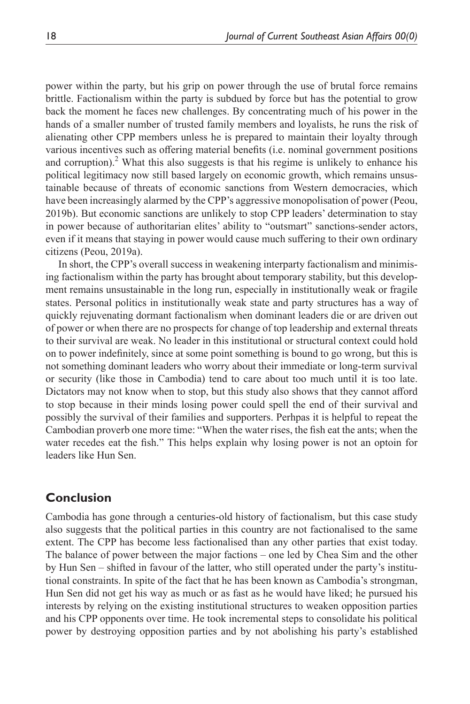power within the party, but his grip on power through the use of brutal force remains brittle. Factionalism within the party is subdued by force but has the potential to grow back the moment he faces new challenges. By concentrating much of his power in the hands of a smaller number of trusted family members and loyalists, he runs the risk of alienating other CPP members unless he is prepared to maintain their loyalty through various incentives such as offering material benefits (i.e. nominal government positions and corruption).<sup>[2](#page-19-12)</sup> What this also suggests is that his regime is unlikely to enhance his political legitimacy now still based largely on economic growth, which remains unsustainable because of threats of economic sanctions from Western democracies, which have been increasingly alarmed by the CPP's aggressive monopolisation of power ([Peou,](#page-20-20) [2019b](#page-20-20)). But economic sanctions are unlikely to stop CPP leaders' determination to stay in power because of authoritarian elites' ability to "outsmart" sanctions-sender actors, even if it means that staying in power would cause much suffering to their own ordinary citizens ([Peou, 2019a\)](#page-20-21).

In short, the CPP's overall success in weakening interparty factionalism and minimising factionalism within the party has brought about temporary stability, but this development remains unsustainable in the long run, especially in institutionally weak or fragile states. Personal politics in institutionally weak state and party structures has a way of quickly rejuvenating dormant factionalism when dominant leaders die or are driven out of power or when there are no prospects for change of top leadership and external threats to their survival are weak. No leader in this institutional or structural context could hold on to power indefinitely, since at some point something is bound to go wrong, but this is not something dominant leaders who worry about their immediate or long-term survival or security (like those in Cambodia) tend to care about too much until it is too late. Dictators may not know when to stop, but this study also shows that they cannot afford to stop because in their minds losing power could spell the end of their survival and possibly the survival of their families and supporters. Perhpas it is helpful to repeat the Cambodian proverb one more time: "When the water rises, the fish eat the ants; when the water recedes eat the fish." This helps explain why losing power is not an optoin for leaders like Hun Sen.

## **Conclusion**

Cambodia has gone through a centuries-old history of factionalism, but this case study also suggests that the political parties in this country are not factionalised to the same extent. The CPP has become less factionalised than any other parties that exist today. The balance of power between the major factions – one led by Chea Sim and the other by Hun Sen – shifted in favour of the latter, who still operated under the party's institutional constraints. In spite of the fact that he has been known as Cambodia's strongman, Hun Sen did not get his way as much or as fast as he would have liked; he pursued his interests by relying on the existing institutional structures to weaken opposition parties and his CPP opponents over time. He took incremental steps to consolidate his political power by destroying opposition parties and by not abolishing his party's established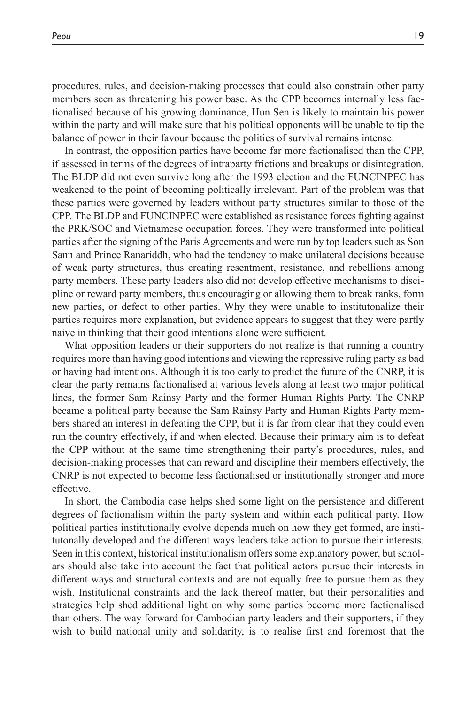procedures, rules, and decision-making processes that could also constrain other party members seen as threatening his power base. As the CPP becomes internally less factionalised because of his growing dominance, Hun Sen is likely to maintain his power within the party and will make sure that his political opponents will be unable to tip the balance of power in their favour because the politics of survival remains intense.

In contrast, the opposition parties have become far more factionalised than the CPP, if assessed in terms of the degrees of intraparty frictions and breakups or disintegration. The BLDP did not even survive long after the 1993 election and the FUNCINPEC has weakened to the point of becoming politically irrelevant. Part of the problem was that these parties were governed by leaders without party structures similar to those of the CPP. The BLDP and FUNCINPEC were established as resistance forces fighting against the PRK/SOC and Vietnamese occupation forces. They were transformed into political parties after the signing of the Paris Agreements and were run by top leaders such as Son Sann and Prince Ranariddh, who had the tendency to make unilateral decisions because of weak party structures, thus creating resentment, resistance, and rebellions among party members. These party leaders also did not develop effective mechanisms to discipline or reward party members, thus encouraging or allowing them to break ranks, form new parties, or defect to other parties. Why they were unable to institutonalize their parties requires more explanation, but evidence appears to suggest that they were partly naive in thinking that their good intentions alone were sufficient.

What opposition leaders or their supporters do not realize is that running a country requires more than having good intentions and viewing the repressive ruling party as bad or having bad intentions. Although it is too early to predict the future of the CNRP, it is clear the party remains factionalised at various levels along at least two major political lines, the former Sam Rainsy Party and the former Human Rights Party. The CNRP became a political party because the Sam Rainsy Party and Human Rights Party members shared an interest in defeating the CPP, but it is far from clear that they could even run the country effectively, if and when elected. Because their primary aim is to defeat the CPP without at the same time strengthening their party's procedures, rules, and decision-making processes that can reward and discipline their members effectively, the CNRP is not expected to become less factionalised or institutionally stronger and more effective.

In short, the Cambodia case helps shed some light on the persistence and different degrees of factionalism within the party system and within each political party. How political parties institutionally evolve depends much on how they get formed, are institutonally developed and the different ways leaders take action to pursue their interests. Seen in this context, historical institutionalism offers some explanatory power, but scholars should also take into account the fact that political actors pursue their interests in different ways and structural contexts and are not equally free to pursue them as they wish. Institutional constraints and the lack thereof matter, but their personalities and strategies help shed additional light on why some parties become more factionalised than others. The way forward for Cambodian party leaders and their supporters, if they wish to build national unity and solidarity, is to realise first and foremost that the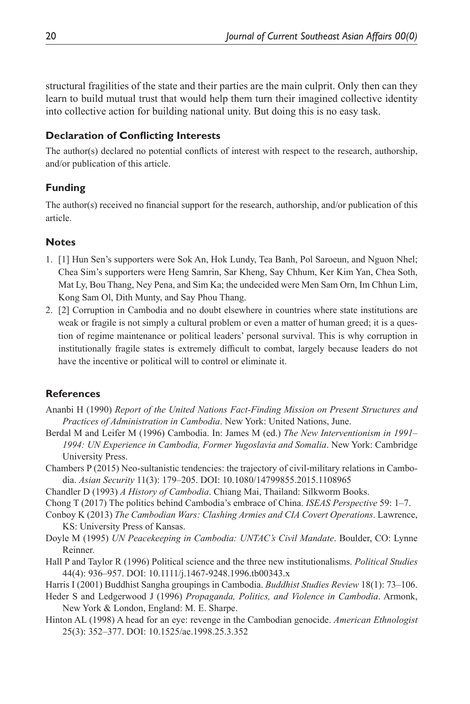structural fragilities of the state and their parties are the main culprit. Only then can they learn to build mutual trust that would help them turn their imagined collective identity into collective action for building national unity. But doing this is no easy task.

## **Declaration of Conflicting Interests**

The author(s) declared no potential conflicts of interest with respect to the research, authorship, and/or publication of this article.

## **Funding**

The author(s) received no financial support for the research, authorship, and/or publication of this article.

## **Notes**

- <span id="page-19-10"></span>1. [1] Hun Sen's supporters were Sok An, Hok Lundy, Tea Banh, Pol Saroeun, and Nguon Nhel; Chea Sim's supporters were Heng Samrin, Sar Kheng, Say Chhum, Ker Kim Yan, Chea Soth, Mat Ly, Bou Thang, Ney Pena, and Sim Ka; the undecided were Men Sam Orn, Im Chhun Lim, Kong Sam Ol, Dith Munty, and Say Phou Thang.
- <span id="page-19-12"></span>2. [2] Corruption in Cambodia and no doubt elsewhere in countries where state institutions are weak or fragile is not simply a cultural problem or even a matter of human greed; it is a question of regime maintenance or political leaders' personal survival. This is why corruption in institutionally fragile states is extremely difficult to combat, largely because leaders do not have the incentive or political will to control or eliminate it.

## **References**

- <span id="page-19-8"></span>Ananbi H (1990) *Report of the United Nations Fact-Finding Mission on Present Structures and Practices of Administration in Cambodia*. New York: United Nations, June.
- <span id="page-19-9"></span>Berdal M and Leifer M (1996) Cambodia. In: James M (ed.) *The New Interventionism in 1991– 1994: UN Experience in Cambodia, Former Yugoslavia and Somalia*. New York: Cambridge University Press.
- <span id="page-19-4"></span>Chambers P (2015) Neo-sultanistic tendencies: the trajectory of civil-military relations in Cambodia. *Asian Security* 11(3): 179–205. DOI: 10.1080/14799855.2015.1108965
- <span id="page-19-7"></span>Chandler D (1993) *A History of Cambodia*. Chiang Mai, Thailand: Silkworm Books.
- <span id="page-19-11"></span>Chong T (2017) The politics behind Cambodia's embrace of China. *ISEAS Perspective* 59: 1–7.
- <span id="page-19-2"></span>Conboy K (2013) *The Cambodian Wars: Clashing Armies and CIA Covert Operations*. Lawrence, KS: University Press of Kansas.
- <span id="page-19-1"></span>Doyle M (1995) *UN Peacekeeping in Cambodia: UNTAC's Civil Mandate*. Boulder, CO: Lynne Reinner.
- <span id="page-19-0"></span>Hall P and Taylor R (1996) Political science and the three new institutionalisms. *Political Studies* 44(4): 936–957. DOI: 10.1111/j.1467-9248.1996.tb00343.x
- <span id="page-19-5"></span>Harris I (2001) Buddhist Sangha groupings in Cambodia. *Buddhist Studies Review* 18(1): 73–106.
- <span id="page-19-3"></span>Heder S and Ledgerwood J (1996) *Propaganda, Politics, and Violence in Cambodia*. Armonk, New York & London, England: M. E. Sharpe.
- <span id="page-19-6"></span>Hinton AL (1998) A head for an eye: revenge in the Cambodian genocide. *American Ethnologist* 25(3): 352–377. DOI: 10.1525/ae.1998.25.3.352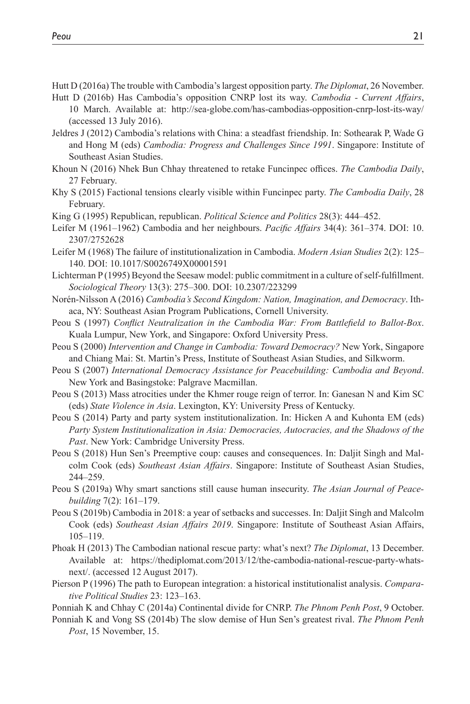- <span id="page-20-16"></span><span id="page-20-15"></span>Hutt D (2016a) The trouble with Cambodia's largest opposition party. *The Diplomat*, 26 November. Hutt D (2016b) Has Cambodia's opposition CNRP lost its way. *Cambodia - Current Affairs*,
	- 10 March. Available at: <http://sea-globe.com/has-cambodias-opposition-cnrp-lost-its-way/> (accessed 13 July 2016).
- <span id="page-20-18"></span>Jeldres J (2012) Cambodia's relations with China: a steadfast friendship. In: Sothearak P, Wade G and Hong M (eds) *Cambodia: Progress and Challenges Since 1991*. Singapore: Institute of Southeast Asian Studies.
- <span id="page-20-7"></span>Khoun N (2016) Nhek Bun Chhay threatened to retake Funcinpec offices. *The Cambodia Daily*, 27 February.
- <span id="page-20-6"></span>Khy S (2015) Factional tensions clearly visible within Funcinpec party. *The Cambodia Daily*, 28 February.
- <span id="page-20-0"></span>King G (1995) Republican, republican. *Political Science and Politics* 28(3): 444–452.
- <span id="page-20-12"></span>Leifer M (1961–1962) Cambodia and her neighbours. *Pacific Affairs* 34(4): 361–374. DOI: 10. 2307/2752628
- <span id="page-20-13"></span>Leifer M (1968) The failure of institutionalization in Cambodia. *Modern Asian Studies* 2(2): 125– 140. DOI: 10.1017/S0026749X00001591
- <span id="page-20-10"></span>Lichterman P (1995) Beyond the Seesaw model: public commitment in a culture of self-fulfillment. *Sociological Theory* 13(3): 275–300. DOI: 10.2307/223299
- <span id="page-20-17"></span>Norén-Nilsson A (2016) *Cambodia's Second Kingdom: Nation, Imagination, and Democracy*. Ithaca, NY: Southeast Asian Program Publications, Cornell University.
- <span id="page-20-2"></span>Peou S (1997) *Conflict Neutralization in the Cambodia War: From Battlefield to Ballot-Box*. Kuala Lumpur, New York, and Singapore: Oxford University Press.
- <span id="page-20-14"></span>Peou S (2000) *Intervention and Change in Cambodia: Toward Democracy?* New York, Singapore and Chiang Mai: St. Martin's Press, Institute of Southeast Asian Studies, and Silkworm.
- <span id="page-20-3"></span>Peou S (2007) *International Democracy Assistance for Peacebuilding: Cambodia and Beyond*. New York and Basingstoke: Palgrave Macmillan.
- <span id="page-20-11"></span>Peou S (2013) Mass atrocities under the Khmer rouge reign of terror. In: Ganesan N and Kim SC (eds) *State Violence in Asia*. Lexington, KY: University Press of Kentucky.
- <span id="page-20-5"></span>Peou S (2014) Party and party system institutionalization. In: Hicken A and Kuhonta EM (eds) *Party System Institutionalization in Asia: Democracies, Autocracies, and the Shadows of the Past*. New York: Cambridge University Press.
- <span id="page-20-4"></span>Peou S (2018) Hun Sen's Preemptive coup: causes and consequences. In: Daljit Singh and Malcolm Cook (eds) *Southeast Asian Affairs*. Singapore: Institute of Southeast Asian Studies, 244–259.
- <span id="page-20-21"></span>Peou S (2019a) Why smart sanctions still cause human insecurity. *The Asian Journal of Peacebuilding* 7(2): 161–179.
- <span id="page-20-20"></span>Peou S (2019b) Cambodia in 2018: a year of setbacks and successes. In: Daljit Singh and Malcolm Cook (eds) *Southeast Asian Affairs 2019*. Singapore: Institute of Southeast Asian Affairs, 105–119.
- <span id="page-20-8"></span>Phoak H (2013) The Cambodian national rescue party: what's next? *The Diplomat*, 13 December. Available at: https://thediplomat.com/2013/12/the-cambodia-national-rescue-party-whatsnext/. (accessed 12 August 2017).
- <span id="page-20-1"></span>Pierson P (1996) The path to European integration: a historical institutionalist analysis. *Comparative Political Studies* 23: 123–163.
- <span id="page-20-9"></span>Ponniah K and Chhay C (2014a) Continental divide for CNRP. *The Phnom Penh Post*, 9 October.
- <span id="page-20-19"></span>Ponniah K and Vong SS (2014b) The slow demise of Hun Sen's greatest rival. *The Phnom Penh Post*, 15 November, 15.